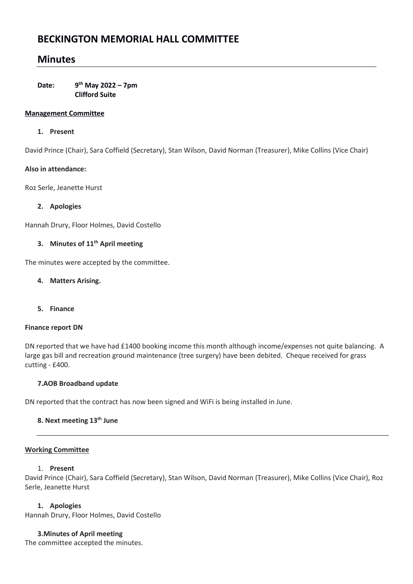# **BECKINGTON MEMORIAL HALL COMMITTEE**

# **Minutes**

Date: **th May 2022 – 7pm Clifford Suite** 

## **Management Committee**

## **1. Present**

David Prince (Chair), Sara Coffield (Secretary), Stan Wilson, David Norman (Treasurer), Mike Collins (Vice Chair)

## **Also in attendance:**

Roz Serle, Jeanette Hurst

# **2. Apologies**

Hannah Drury, Floor Holmes, David Costello

# **3. Minutes of 11th April meeting**

The minutes were accepted by the committee.

## **4. Matters Arising.**

**5. Finance**

#### **Finance report DN**

DN reported that we have had £1400 booking income this month although income/expenses not quite balancing. A large gas bill and recreation ground maintenance (tree surgery) have been debited. Cheque received for grass cutting - £400.

# **7.AOB Broadband update**

DN reported that the contract has now been signed and WiFi is being installed in June.

# **8. Next meeting 13th June**

#### **Working Committee**

#### 1. **Present**

David Prince (Chair), Sara Coffield (Secretary), Stan Wilson, David Norman (Treasurer), Mike Collins (Vice Chair), Roz Serle, Jeanette Hurst

# **1. Apologies**

Hannah Drury, Floor Holmes, David Costello

# **3.Minutes of April meeting**

The committee accepted the minutes.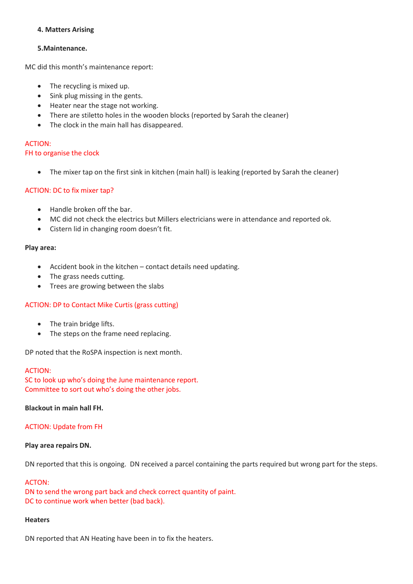## **4. Matters Arising**

## **5.Maintenance.**

MC did this month's maintenance report:

- The recycling is mixed up.
- Sink plug missing in the gents.
- Heater near the stage not working.
- There are stiletto holes in the wooden blocks (reported by Sarah the cleaner)
- The clock in the main hall has disappeared.

#### ACTION:

#### FH to organise the clock

• The mixer tap on the first sink in kitchen (main hall) is leaking (reported by Sarah the cleaner)

## ACTION: DC to fix mixer tap?

- Handle broken off the bar.
- MC did not check the electrics but Millers electricians were in attendance and reported ok.
- Cistern lid in changing room doesn't fit.

#### **Play area:**

- Accident book in the kitchen contact details need updating.
- The grass needs cutting.
- Trees are growing between the slabs

#### ACTION: DP to Contact Mike Curtis (grass cutting)

- The train bridge lifts.
- The steps on the frame need replacing.

DP noted that the RoSPA inspection is next month.

#### ACTION:

SC to look up who's doing the June maintenance report. Committee to sort out who's doing the other jobs.

#### **Blackout in main hall FH.**

#### ACTION: Update from FH

#### **Play area repairs DN.**

DN reported that this is ongoing. DN received a parcel containing the parts required but wrong part for the steps.

#### ACTON:

DN to send the wrong part back and check correct quantity of paint. DC to continue work when better (bad back).

# **Heaters**

DN reported that AN Heating have been in to fix the heaters.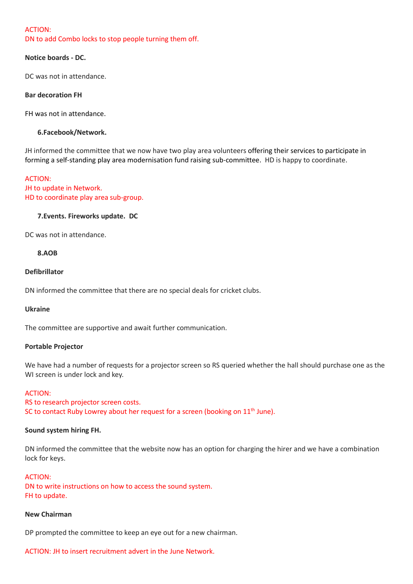#### ACTION:

DN to add Combo locks to stop people turning them off.

#### **Notice boards - DC.**

DC was not in attendance.

#### **Bar decoration FH**

FH was not in attendance.

#### **6.Facebook/Network.**

JH informed the committee that we now have two play area volunteers offering their services to participate in forming a self-standing play area modernisation fund raising sub-committee. HD is happy to coordinate.

## ACTION: JH to update in Network. HD to coordinate play area sub-group.

#### **7.Events. Fireworks update. DC**

DC was not in attendance.

#### **8.AOB**

#### **Defibrillator**

DN informed the committee that there are no special deals for cricket clubs.

#### **Ukraine**

The committee are supportive and await further communication.

#### **Portable Projector**

We have had a number of requests for a projector screen so RS queried whether the hall should purchase one as the WI screen is under lock and key.

#### ACTION:

RS to research projector screen costs. SC to contact Ruby Lowrey about her request for a screen (booking on  $11<sup>th</sup>$  June).

#### **Sound system hiring FH.**

DN informed the committee that the website now has an option for charging the hirer and we have a combination lock for keys.

#### ACTION:

DN to write instructions on how to access the sound system. FH to update.

#### **New Chairman**

DP prompted the committee to keep an eye out for a new chairman.

ACTION: JH to insert recruitment advert in the June Network.